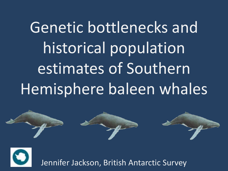Genetic bottlenecks and historical population estimates of Southern Hemisphere baleen whales





Jennifer Jackson, British Antarctic Survey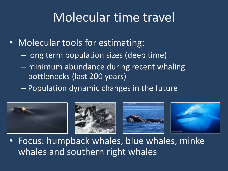## Molecular time travel

- Molecular tools for estimating:
	- long term population sizes (deep time)
	- minimum abundance during recent whaling bottlenecks (last 200 years)
	- Population dynamic changes in the future



• Focus: humpback whales, blue whales, minke whales and southern right whales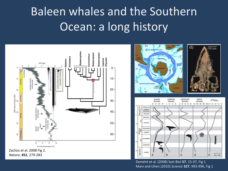## Baleen whales and the Southern Ocean: a long history



 $d)$ 

 $10 \text{ cm}$ 



Deméré et al. (2008) Syst Biol **57**, 15-37, Fig 1 Marx and Uhen (2010) *Science* **327**, 993-996, Fig 1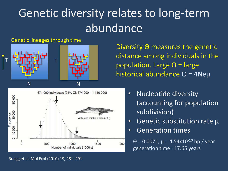## Genetic diversity relates to long-term abundance

#### Genetic lineages through time



Diversity Θ measures the genetic distance among individuals in the population. Large Θ = large historical abundance Θ = 4Neµ



- Nucleotide diversity (accounting for population subdivision)
- Genetic substitution rate  $\mu$
- Generation times

 $Θ = 0.0071$ ,  $µ = 4.54x10<sup>-10</sup>$  bp / year generation time= 17.65 years

Ruegg et al. Mol Ecol (2010) 19, 281–291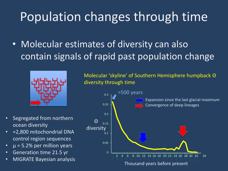# Population changes through time

• Molecular estimates of diversity can also contain signals of rapid past population change



Molecular 'skyline' of Southern Hemisphere humpback Θ diversity through time

- Segregated from northern ocean diversity
- ≈2,800 mitochondrial DNA control region sequences
- $\mu$  = 5.2% per million years
- Generation time 21.5 yr
- MIGRATE Bayesian analysis

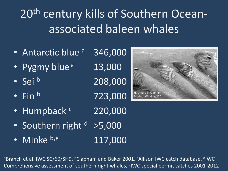20<sup>th</sup> century kills of Southern Oceanassociated baleen whales

- Antarctic blue <sup>a</sup> 346,000
- Pygmy blue<sup>a</sup> 13,000
- 
- 
- Humpback c 220,000
- Southern right  $d > 5,000$
- Minke b,e 117,000

• Sei  $\frac{b}{208,000}$ • Fin  $^{\rm b}$  723,000



<sup>a</sup>Branch et al. IWC SC/60/SH9, <sup>b</sup>Clapham and Baker 2001, <sup>c</sup>Allison IWC catch database, <sup>d</sup>IWC Comprehensive assessment of southern right whales, <sup>e</sup>IWC special permit catches 2001-2012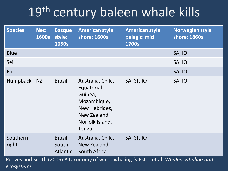# 19<sup>th</sup> century baleen whale kills

| <b>Species</b>    | Net:<br><b>1600s</b> | <b>Basque</b><br>style:<br>1050s    | <b>American style</b><br>shore: 1600s                                                                                  | <b>American style</b><br>pelagic: mid<br>1700s | <b>Norwegian style</b><br>shore: 1860s |
|-------------------|----------------------|-------------------------------------|------------------------------------------------------------------------------------------------------------------------|------------------------------------------------|----------------------------------------|
| <b>Blue</b>       |                      |                                     |                                                                                                                        |                                                | SA, IO                                 |
| Sei               |                      |                                     |                                                                                                                        |                                                | SA, IO                                 |
| Fin               |                      |                                     |                                                                                                                        |                                                | SA, IO                                 |
| Humpback          | NZ                   | <b>Brazil</b>                       | Australia, Chile,<br>Equatorial<br>Guinea,<br>Mozambique,<br>New Hebrides,<br>New Zealand,<br>Norfolk Island,<br>Tonga | SA, SP, IO                                     | <b>SA, IO</b>                          |
| Southern<br>right |                      | Brazil,<br>South<br><b>Atlantic</b> | Australia, Chile,<br>New Zealand,<br>South Africa                                                                      | SA, SP, IO                                     |                                        |

Reeves and Smith (2006) A taxonomy of world whaling *in* Estes et al. *Whales, whaling and ecosystems*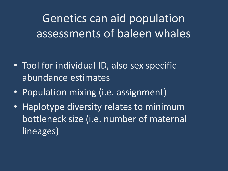Genetics can aid population assessments of baleen whales

- Tool for individual ID, also sex specific abundance estimates
- Population mixing (i.e. assignment)
- Haplotype diversity relates to minimum bottleneck size (i.e. number of maternal lineages)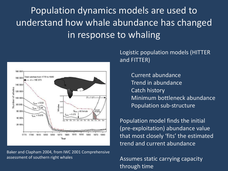Population dynamics models are used to understand how whale abundance has changed in response to whaling



Baker and Clapham 2004, from IWC 2001 Comprehensive assessment of southern right whales

Logistic population models (HITTER and FITTER)

> Current abundance Trend in abundance Catch history Minimum bottleneck abundance Population sub-structure

Population model finds the initial (pre-exploitation) abundance value that most closely 'fits' the estimated trend and current abundance

Assumes static carrying capacity through time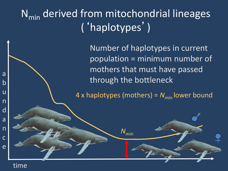### N<sub>min</sub> derived from mitochondrial lineages ('haplotypes')

Number of haplotypes in current population = minimum number of mothers that must have passed through the bottleneck

4 x haplotypes (mothers) = *Nmin* lower bound

*Nmin*

#### time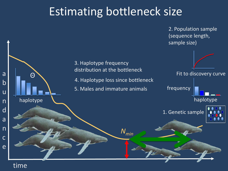### Estimating bottleneck size

2. Population sample (sequence length, sample size)



#### time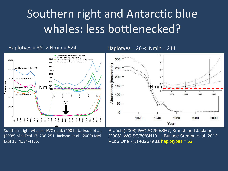## Southern right and Antarctic blue whales: less bottlenecked?



Southern right whales: IWC et al. (2001), Jackson et al. (2008) Mol Ecol 17, 236-251. Jackson et al. (2009) Mol Ecol 18, 4134-4135.

Branch (2008) IWC SC/60/SH7, Branch and Jackson (2008) IWC SC/60/SH10…. But see Sremba et al. 2012 PLoS One  $7(3)$  e32579 as haplotypes =  $52$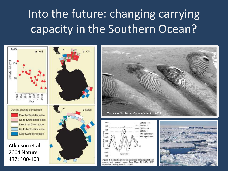## Into the future: changing carrying capacity in the Southern Ocean?

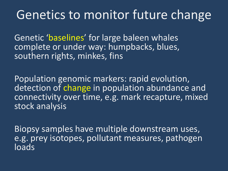### Genetics to monitor future change

Genetic 'baselines' for large baleen whales complete or under way: humpbacks, blues, southern rights, minkes, fins

Population genomic markers: rapid evolution, detection of change in population abundance and connectivity over time, e.g. mark recapture, mixed stock analysis

Biopsy samples have multiple downstream uses, e.g. prey isotopes, pollutant measures, pathogen loads